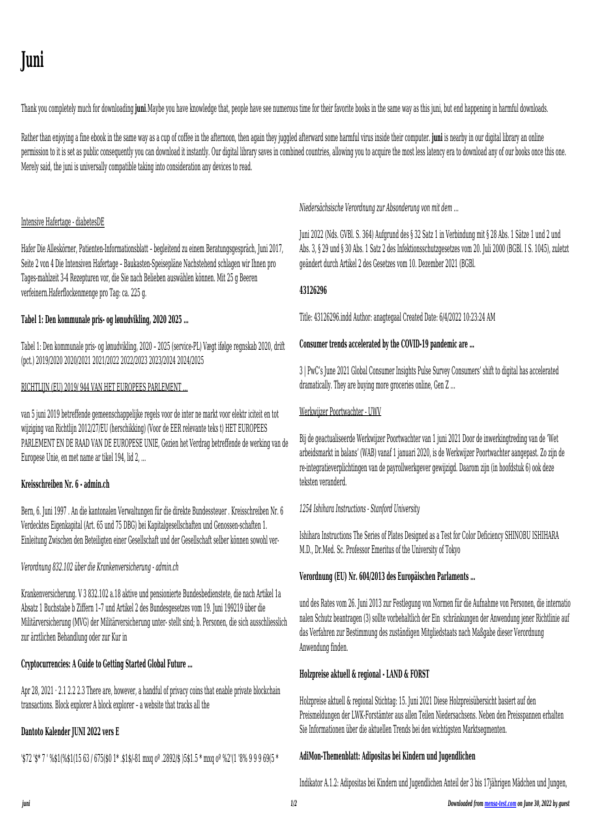*juni 1/2 Downloaded from [mensa-test.com](https://mensa-test.com) on June 30, 2022 by guest*

# **Juni**

Thank you completely much for downloading **juni**.Maybe you have knowledge that, people have see numerous time for their favorite books in the same way as this juni, but end happening in harmful downloads.

Rather than enjoying a fine ebook in the same way as a cup of coffee in the afternoon, then again they juggled afterward some harmful virus inside their computer. **juni** is nearby in our digital library an online permission to it is set as public consequently you can download it instantly. Our digital library saves in combined countries, allowing you to acquire the most less latency era to download any of our books once this one. Merely said, the juni is universally compatible taking into consideration any devices to read.

# Intensive Hafertage - diabetesDE

Hafer Die Alleskörner, Patienten-Informationsblatt – begleitend zu einem Beratungsgespräch, Juni 2017, Seite 2 von 4 Die Intensiven Hafertage – Baukasten-Speisepläne Nachstehend schlagen wir Ihnen pro Tages-mahlzeit 3-4 Rezepturen vor, die Sie nach Belieben auswählen können. Mit 25 g Beeren verfeinern.Haferflockenmenge pro Tag: ca. 225 g.

# **Tabel 1: Den kommunale pris- og lønudvikling, 2020 2025 …**

Tabel 1: Den kommunale pris- og lønudvikling, 2020 – 2025 (service-PL) Vægt ifølge regnskab 2020, drift (pct.) 2019/2020 2020/2021 2021/2022 2022/2023 2023/2024 2024/2025

Apr 28, 2021  $\cdot$  2.1 2.2 2.3 There are, however, a handful of privacy coins that enable private blockchain transactions. Block explorer A block explorer – a website that tracks all the

# RICHTLIJN (EU) 2019/ 944 VAN HET EUROPEES PARLEMENT …

van 5 juni 2019 betreffende gemeenschappelijke regels voor de inter ne markt voor elektr iciteit en tot wijziging van Richtlijn 2012/27/EU (herschikking) (Voor de EER relevante teks t) HET EUROPEES PARLEMENT EN DE RAAD VAN DE EUROPESE UNIE, Gezien het Verdrag betreffende de werking van de Europese Unie, en met name ar tikel 194, lid 2, ...

# **Kreisschreiben Nr. 6 - admin.ch**

Bern, 6. Juni 1997 . An die kantonalen Verwaltungen für die direkte Bundessteuer . Kreisschreiben Nr. 6 Verdecktes Eigenkapital (Art. 65 und 75 DBG) bei Kapitalgesellschaften und Genossen-schaften 1. Einleitung Zwischen den Beteiligten einer Gesellschaft und der Gesellschaft selber können sowohl ver-

# *Verordnung 832.102 über die Krankenversicherung - admin.ch*

Krankenversicherung. V 3 832.102 a.18 aktive und pensionierte Bundesbedienstete, die nach Artikel 1a Absatz 1 Buchstabe b Ziffern 1–7 und Artikel 2 des Bundesgesetzes vom 19. Juni 199219 über die Militärversicherung (MVG) der Militärversicherung unter- stellt sind; b. Personen, die sich ausschliesslich zur ärztlichen Behandlung oder zur Kur in

# **Cryptocurrencies: A Guide to Getting Started Global Future …**

# **Dantoto Kalender JUNI 2022 vers E**

'\$72 '\$\* 7 ' %\$1(%\$1(15 63 / 675(\$0 1\* .\$1\$/-81 mxq oº .2892/\$ )5\$1.5 \* mxq oº %2'(1 '8% 9 9 9 69(5 \*

*Niedersächsische Verordnung zur Absonderung von mit dem …*

Juni 2022 (Nds. GVBl. S. 364) Aufgrund des § 32 Satz 1 in Verbindung mit § 28 Abs. 1 Sätze 1 und 2 und Abs. 3, § 29 und § 30 Abs. 1 Satz 2 des Infektionsschutzgesetzes vom 20. Juli 2000 (BGBl. I S. 1045), zuletzt geändert durch Artikel 2 des Gesetzes vom 10. Dezember 2021 (BGBl.

#### **43126296**

Title: 43126296.indd Author: anagtegaal Created Date: 6/4/2022 10:23:24 AM

# **Consumer trends accelerated by the COVID-19 pandemic are …**

3 | PwC's June 2021 Global Consumer Insights Pulse Survey Consumers' shift to digital has accelerated dramatically. They are buying more groceries online, Gen Z …

### Werkwijzer Poortwachter - UWV

Bij de geactualiseerde Werkwijzer Poortwachter van 1 juni 2021 Door de inwerkingtreding van de 'Wet arbeidsmarkt in balans' (WAB) vanaf 1 januari 2020, is de Werkwijzer Poortwachter aangepast. Zo zijn de re-integratieverplichtingen van de payrollwerkgever gewijzigd. Daarom zijn (in hoofdstuk 6) ook deze teksten veranderd.

# *1254 Ishihara Instructions - Stanford University*

Ishihara Instructions The Series of Plates Designed as a Test for Color Deficiency SHINOBU ISHIHARA M.D., Dr.Med. Sc. Professor Emeritus of the University of Tokyo

# **Verordnung (EU) Nr. 604/2013 des Europäischen Parlaments …**

und des Rates vom 26. Juni 2013 zur Festlegung von Normen für die Aufnahme von Personen, die internatio nalen Schutz beantragen (3) sollte vorbehaltlich der Ein schränkungen der Anwendung jener Richtlinie auf das Verfahren zur Bestimmung des zuständigen Mitgliedstaats nach Maßgabe dieser Verordnung Anwendung finden.

# **Holzpreise aktuell & regional - LAND & FORST**

Holzpreise aktuell & regional Stichtag: 15. Juni 2021 Diese Holzpreisübersicht basiert auf den Preismeldungen der LWK-Forstämter aus allen Teilen Niedersachsens. Neben den Preisspannen erhalten Sie Informationen über die aktuellen Trends bei den wichtigsten Marktsegmenten.

# **AdiMon-Themenblatt: Adipositas bei Kindern und Jugendlichen**

Indikator A.1.2: Adipositas bei Kindern und Jugendlichen Anteil der 3 bis 17jährigen Mädchen und Jungen,